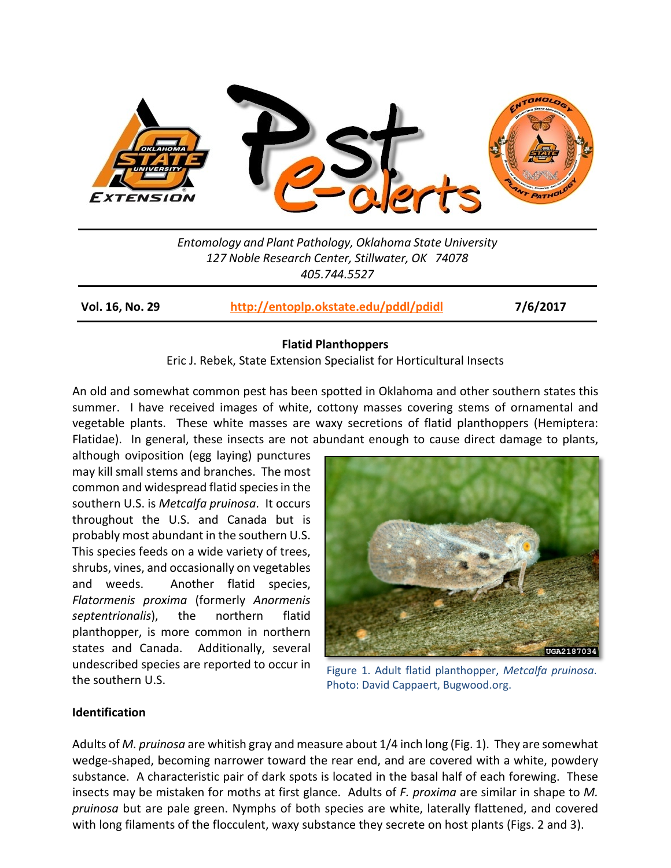

*Entomology and Plant Pathology, Oklahoma State University 127 Noble Research Center, Stillwater, OK 74078 405.744.5527*

**Vol. 16, No. 29 <http://entoplp.okstate.edu/pddl/pdidl> 7/6/2017**

## **Flatid Planthoppers**

Eric J. Rebek, State Extension Specialist for Horticultural Insects

An old and somewhat common pest has been spotted in Oklahoma and other southern states this summer. I have received images of white, cottony masses covering stems of ornamental and vegetable plants. These white masses are waxy secretions of flatid planthoppers (Hemiptera: Flatidae). In general, these insects are not abundant enough to cause direct damage to plants,

although oviposition (egg laying) punctures may kill small stems and branches. The most common and widespread flatid species in the southern U.S. is *Metcalfa pruinosa*. It occurs throughout the U.S. and Canada but is probably most abundant in the southern U.S. This species feeds on a wide variety of trees, shrubs, vines, and occasionally on vegetables and weeds. Another flatid species, *Flatormenis proxima* (formerly *Anormenis septentrionalis*), the northern flatid planthopper, is more common in northern states and Canada. Additionally, several undescribed species are reported to occur in the southern U.S.



Figure 1. Adult flatid planthopper, *Metcalfa pruinosa*. Photo: David Cappaert, Bugwood.org.

# **Identification**

Adults of *M. pruinosa* are whitish gray and measure about 1/4 inch long (Fig. 1). They are somewhat wedge-shaped, becoming narrower toward the rear end, and are covered with a white, powdery substance. A characteristic pair of dark spots is located in the basal half of each forewing. These insects may be mistaken for moths at first glance. Adults of *F. proxima* are similar in shape to *M. pruinosa* but are pale green. Nymphs of both species are white, laterally flattened, and covered with long filaments of the flocculent, waxy substance they secrete on host plants (Figs. 2 and 3).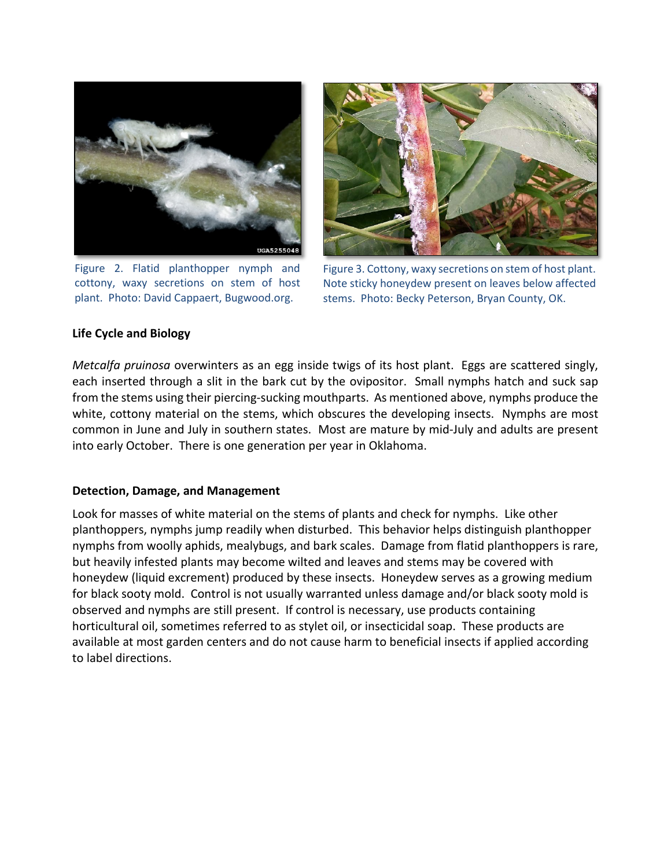

Figure 2. Flatid planthopper nymph and cottony, waxy secretions on stem of host plant. Photo: David Cappaert, Bugwood.org.



Figure 3. Cottony, waxy secretions on stem of host plant. Note sticky honeydew present on leaves below affected stems. Photo: Becky Peterson, Bryan County, OK.

## **Life Cycle and Biology**

*Metcalfa pruinosa* overwinters as an egg inside twigs of its host plant. Eggs are scattered singly, each inserted through a slit in the bark cut by the ovipositor. Small nymphs hatch and suck sap from the stems using their piercing-sucking mouthparts. As mentioned above, nymphs produce the white, cottony material on the stems, which obscures the developing insects. Nymphs are most common in June and July in southern states. Most are mature by mid-July and adults are present into early October. There is one generation per year in Oklahoma.

# **Detection, Damage, and Management**

Look for masses of white material on the stems of plants and check for nymphs. Like other planthoppers, nymphs jump readily when disturbed. This behavior helps distinguish planthopper nymphs from woolly aphids, mealybugs, and bark scales. Damage from flatid planthoppers is rare, but heavily infested plants may become wilted and leaves and stems may be covered with honeydew (liquid excrement) produced by these insects. Honeydew serves as a growing medium for black sooty mold. Control is not usually warranted unless damage and/or black sooty mold is observed and nymphs are still present. If control is necessary, use products containing horticultural oil, sometimes referred to as stylet oil, or insecticidal soap. These products are available at most garden centers and do not cause harm to beneficial insects if applied according to label directions.